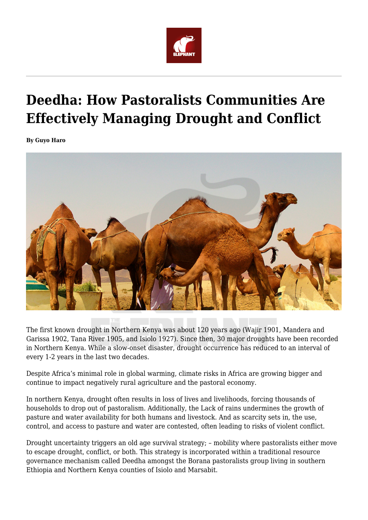

# **Deedha: How Pastoralists Communities Are Effectively Managing Drought and Conflict**

**By Guyo Haro**



The first known drought in Northern Kenya was about 120 years ago (Wajir 1901, Mandera and Garissa 1902, Tana River 1905, and Isiolo 1927). Since then, 30 major droughts have been recorded in Northern Kenya. While a slow-onset disaster, drought occurrence has reduced to an interval of every 1-2 years in the last two decades.

Despite Africa's minimal role in global warming, climate risks in Africa are growing bigger and continue to impact negatively rural agriculture and the pastoral economy.

In northern Kenya, drought often results in loss of lives and livelihoods, forcing thousands of households to drop out of pastoralism. Additionally, the Lack of rains undermines the growth of pasture and water availability for both humans and livestock. And as scarcity sets in, the use, control, and access to pasture and water are contested, often leading to risks of violent conflict.

Drought uncertainty triggers an old age survival strategy; – mobility where pastoralists either move to escape drought, conflict, or both. This strategy is incorporated within a traditional resource governance mechanism called Deedha amongst the Borana pastoralists group living in southern Ethiopia and Northern Kenya counties of Isiolo and Marsabit.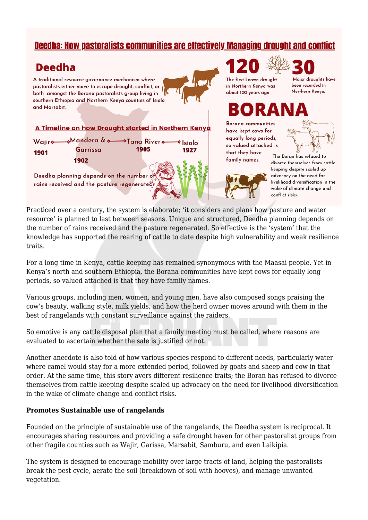### **Deedha: How pastoralists communities are effectively Managing drought and conflict**

## **Deedha**

A traditional resource governance mechanism where pastoralists either move to escape drought, conflict, or both amongst the Borana pastoralists group living in southern Ethiopia and Northern Kenya counties of Isiolo and Marsabit.

#### A Timeline on how Drought started in Northern Kenya

|      | Wajiro Mandera & o Tana Rivero o Isiolo |                                           |      |  |
|------|-----------------------------------------|-------------------------------------------|------|--|
| 1901 | Garrissa                                | 1905                                      | 1927 |  |
|      | 1902                                    | $\triangle$ control of $\partial \lambda$ |      |  |

Deedha planning depends on the number of rains received and the pasture regenerateds

The first known drought in Northern Kenya was about 120 years ago

Major droughts have been recorded in Northern Kenya.

**Borana** communities have kept cows for equally long periods, so valued attached is that they have family names.



The Boran has refused to divorce themselves from cattle keeping despite scaled up advocacy on the need for livelihood diversification in the wake of climate change and conflict risks.

Practiced over a century, the system is elaborate; 'it considers and plans how pasture and water resource' is planned to last between seasons. Unique and structured, Deedha planning depends on the number of rains received and the pasture regenerated. So effective is the 'system' that the knowledge has supported the rearing of cattle to date despite high vulnerability and weak resilience traits.

For a long time in Kenya, cattle keeping has remained synonymous with the Maasai people. Yet in Kenya's north and southern Ethiopia, the Borana communities have kept cows for equally long periods, so valued attached is that they have family names.

Various groups, including men, women, and young men, have also composed songs praising the cow's beauty, walking style, milk yields, and how the herd owner moves around with them in the best of rangelands with constant surveillance against the raiders.

So emotive is any cattle disposal plan that a family meeting must be called, where reasons are evaluated to ascertain whether the sale is justified or not.

Another anecdote is also told of how various species respond to different needs, particularly water where camel would stay for a more extended period, followed by goats and sheep and cow in that order. At the same time, this story avers different resilience traits; the Boran has refused to divorce themselves from cattle keeping despite scaled up advocacy on the need for livelihood diversification in the wake of climate change and conflict risks.

#### **Promotes Sustainable use of rangelands**

Founded on the principle of sustainable use of the rangelands, the Deedha system is reciprocal. It encourages sharing resources and providing a safe drought haven for other pastoralist groups from other fragile counties such as Wajir, Garissa, Marsabit, Samburu, and even Laikipia.

The system is designed to encourage mobility over large tracts of land, helping the pastoralists break the pest cycle, aerate the soil (breakdown of soil with hooves), and manage unwanted vegetation.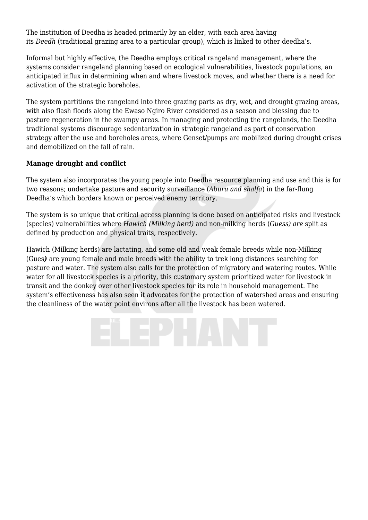The institution of Deedha is headed primarily by an elder, with each area having its *Deedh* (traditional grazing area to a particular group), which is linked to other deedha's.

Informal but highly effective, the Deedha employs critical rangeland management, where the systems consider rangeland planning based on ecological vulnerabilities, livestock populations, an anticipated influx in determining when and where livestock moves, and whether there is a need for activation of the strategic boreholes.

The system partitions the rangeland into three grazing parts as dry, wet, and drought grazing areas, with also flash floods along the Ewaso Ngiro River considered as a season and blessing due to pasture regeneration in the swampy areas. In managing and protecting the rangelands, the Deedha traditional systems discourage sedentarization in strategic rangeland as part of conservation strategy after the use and boreholes areas, where Genset/pumps are mobilized during drought crises and demobilized on the fall of rain.

#### **Manage drought and conflict**

The system also incorporates the young people into Deedha resource planning and use and this is for two reasons; undertake pasture and security surveillance (*Aburu and shalfa*) in the far-flung Deedha's which borders known or perceived enemy territory.

The system is so unique that critical access planning is done based on anticipated risks and livestock (species) vulnerabilities where *Hawich (Milking herd)* and non-milking herds (*Guess) are* split as defined by production and physical traits, respectively.

Hawich (Milking herds) are lactating, and some old and weak female breeds while non-Milking (Gues*)* are young female and male breeds with the ability to trek long distances searching for pasture and water. The system also calls for the protection of migratory and watering routes. While water for all livestock species is a priority, this customary system prioritized water for livestock in transit and the donkey over other livestock species for its role in household management. The system's effectiveness has also seen it advocates for the protection of watershed areas and ensuring the cleanliness of the water point environs after all the livestock has been watered.

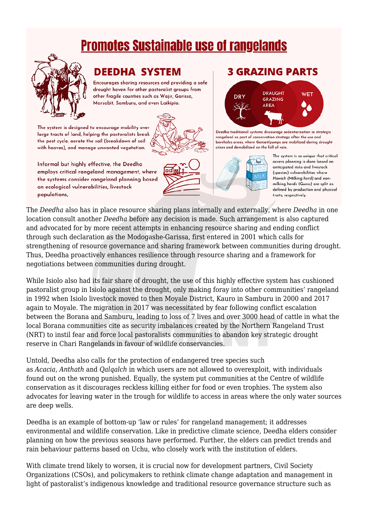# **Promotes Sustainable use of rangelands**



# **DEEDHA SYSTEM**

Encourages sharing resources and providing a safe drought haven for other pastoralist groups from other fragile counties such as Wajir, Garissa, Marsabit, Samburu, and even Laikipia.

The system is designed to encourage mobility over large tracts of land, helping the pastoralists break the pest cycle, aerate the soil (breakdown of soil with hooves), and manage unwanted vegetation.



Informal but highly effective, the Deedha employs critical rangeland management, where the systems consider rangeland planning based on ecological vulnerabilities, livestock populations.



### **3 GRAZING PARTS**



Deedha traditional systems discourage sedentarization in strategic rangeland as part of conservation strategy after the use and boreholes areas, where Genset/pumps are mobilized during drought crises and demobilized on the fall of rain.



The system is so unique that critical access planning is done based on anticipated risks and livestock (species) vulnerabilities where Hawich (Milking herd) and nonmilking herds (Guess) are split as defined by production and physical traits, respectively.

The *Deedha* also has in place resource sharing plans internally and externally, where *Deedha* in one location consult another *Deedha* before any decision is made. Such arrangement is also captured and advocated for by more recent attempts in enhancing resource sharing and ending conflict through such declaration as the Modogashe-Garissa, first entered in 2001 which calls for strengthening of resource governance and sharing framework between communities during drought. Thus, Deedha proactively enhances resilience through resource sharing and a framework for negotiations between communities during drought.

While Isiolo also had its fair share of drought, the use of this highly effective system has cushioned pastoralist group in Isiolo against the drought, only making foray into other communities' rangeland in 1992 when Isiolo livestock moved to then Moyale District, Kauro in Samburu in 2000 and 2017 again to Moyale. The migration in 2017 was necessitated by fear following conflict escalation between the Borana and Samburu, leading to loss of 7 lives and over 3000 head of cattle in what the local Borana communities cite as security imbalances created by the Northern Rangeland Trust (NRT) to instil fear and force local pastoralists communities to abandon key strategic drought reserve in Chari Rangelands in favour of wildlife conservancies.

Untold, Deedha also calls for the protection of endangered tree species such as *Acacia*, *Anthath* and *Qalqalch* in which users are not allowed to overexploit, with individuals found out on the wrong punished. Equally, the system put communities at the Centre of wildlife conservation as it discourages reckless killing either for food or even trophies. The system also advocates for leaving water in the trough for wildlife to access in areas where the only water sources are deep wells.

Deedha is an example of bottom-up 'law or rules' for rangeland management; it addresses environmental and wildlife conservation. Like in predictive climate science, Deedha elders consider planning on how the previous seasons have performed. Further, the elders can predict trends and rain behaviour patterns based on Uchu, who closely work with the institution of elders.

With climate trend likely to worsen, it is crucial now for development partners, Civil Society Organizations (CSOs), and policymakers to rethink climate change adaptation and management in light of pastoralist's indigenous knowledge and traditional resource governance structure such as